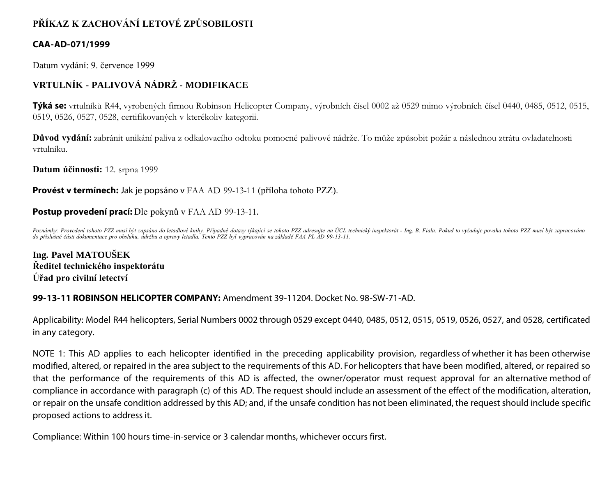# **PŘÍKAZ K ZACHOVÁNÍ LETOVÉ ZPŮSOBILOSTI**

### **CAA-AD-071/1999**

Datum vydání: 9. července 1999

# **VRTULNÍK - PALIVOVÁ NÁDRŽ - MODIFIKACE**

**Týká se:** vrtulníků R44, vyrobených firmou Robinson Helicopter Company, výrobních čísel 0002 až 0529 mimo výrobních čísel 0440, 0485, 0512, 0515, 0519, 0526, 0527, 0528, certifikovaných v kterékoliv kategorii.

**Důvod vydání:** zabránit unikání paliva z odkalovacího odtoku pomocné palivové nádrže. To může způsobit požár a následnou ztrátu ovladatelnosti vrtulníku.

**Datum účinnosti:** 12. srpna 1999

### **Provést v termínech:** Jak je popsáno v FAA AD 99-13-11 (příloha tohoto PZZ).

### **Postup provedení prací:** Dle pokynů v FAA AD 99-13-11.

Poznámky: Provedení tohoto PZZ musí být zapsáno do letadlové knihy. Případné dotazy týkající se tohoto PZZ adresujte na ÚCL technický inspektorát - Ing. B. Fiala. Pokud to vyžaduje povaha tohoto PZZ musí být zapracováno *do příslušné části dokumentace pro obsluhu, údržbu a opravy letadla. Tento PZZ byl vypracován na základě FAA PL AD 99-13-11.*

**Ing. Pavel MATOUŠEK Ředitel technického inspektorátu Úřad pro civilní letectví**

### **99-13-11 ROBINSON HELICOPTER COMPANY:** Amendment 39-11204. Docket No. 98-SW-71-AD.

Applicability: Model R44 helicopters, Serial Numbers 0002 through 0529 except 0440, 0485, 0512, 0515, 0519, 0526, 0527, and 0528, certificated in any category.

NOTE 1: This AD applies to each helicopter identified in the preceding applicability provision, regardless of whether it has been otherwise modified, altered, or repaired in the area subject to the requirements of this AD. For helicopters that have been modified, altered, or repaired so that the performance of the requirements of this AD is affected, the owner/operator must request approval for an alternative method of compliance in accordance with paragraph (c) of this AD. The request should include an assessment of the effect of the modification, alteration, or repair on the unsafe condition addressed by this AD; and, if the unsafe condition has not been eliminated, the request should include specific proposed actions to address it.

Compliance: Within 100 hours time-in-service or 3 calendar months, whichever occurs first.